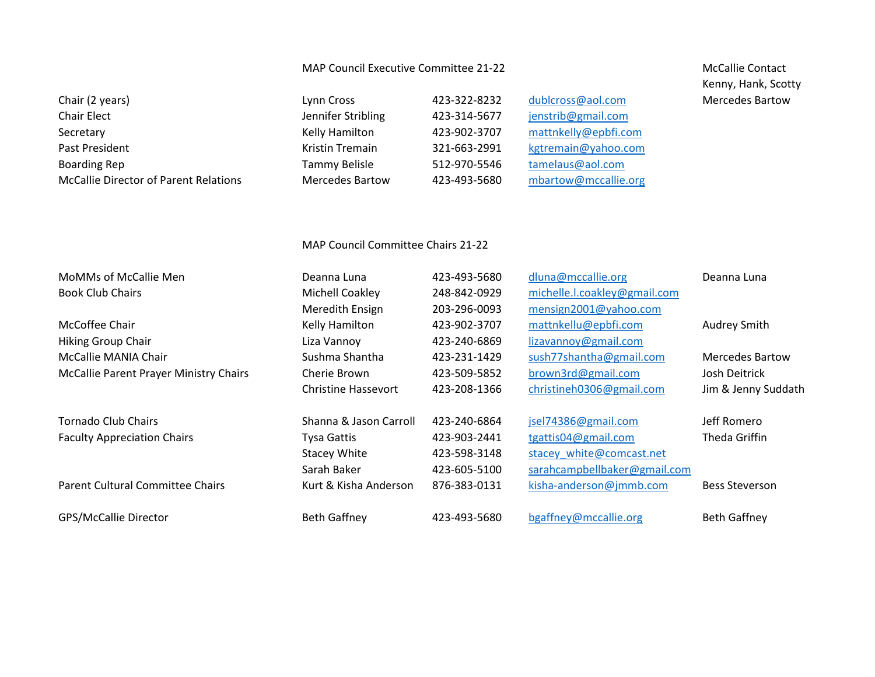## MAP Council Executive Committee 21-22 McCallie Contact

| Chair (2 years)                              | Lynn Cross             | 423-322-8232 | dublcross@aol.com    |
|----------------------------------------------|------------------------|--------------|----------------------|
| Chair Elect                                  | Jennifer Stribling     | 423-314-5677 | jenstrib@gmail.com   |
| Secretary                                    | Kelly Hamilton         | 423-902-3707 | mattnkelly@epbfi.com |
| Past President                               | Kristin Tremain        | 321-663-2991 | kgtremain@yahoo.com  |
| <b>Boarding Rep</b>                          | Tammy Belisle          | 512-970-5546 | tamelaus@aol.com     |
| <b>McCallie Director of Parent Relations</b> | <b>Mercedes Bartow</b> | 423-493-5680 | mbartow@mccallie.org |

Kenny, Hank, Scotty Mercedes Bartow

## MAP Council Committee Chairs 21-22

| MoMMs of McCallie Men<br><b>Book Club Chairs</b>               | Deanna Luna<br>Michell Coakley<br>Meredith Ensign                           | 423-493-5680<br>248-842-0929<br>203-296-0093                 | dluna@mccallie.org<br>michelle.l.coakley@gmail.com<br>mensign2001@yahoo.com                            | Deanna Luna                                                    |
|----------------------------------------------------------------|-----------------------------------------------------------------------------|--------------------------------------------------------------|--------------------------------------------------------------------------------------------------------|----------------------------------------------------------------|
| McCoffee Chair<br><b>Hiking Group Chair</b>                    | Kelly Hamilton<br>Liza Vannoy                                               | 423-902-3707<br>423-240-6869                                 | mattnkellu@epbfi.com<br>lizavannoy@gmail.com                                                           | Audrey Smith                                                   |
| McCallie MANIA Chair<br>McCallie Parent Prayer Ministry Chairs | Sushma Shantha<br>Cherie Brown<br>Christine Hassevort                       | 423-231-1429<br>423-509-5852<br>423-208-1366                 | sush77shantha@gmail.com<br>brown3rd@gmail.com<br>christineh0306@gmail.com                              | <b>Mercedes Bartow</b><br>Josh Deitrick<br>Jim & Jenny Suddath |
| Tornado Club Chairs<br><b>Faculty Appreciation Chairs</b>      | Shanna & Jason Carroll<br>Tysa Gattis<br><b>Stacey White</b><br>Sarah Baker | 423-240-6864<br>423-903-2441<br>423-598-3148<br>423-605-5100 | jsel74386@gmail.com<br>tgattis04@gmail.com<br>stacey white@comcast.net<br>sarahcampbellbaker@gmail.com | Jeff Romero<br>Theda Griffin                                   |
| <b>Parent Cultural Committee Chairs</b>                        | Kurt & Kisha Anderson                                                       | 876-383-0131                                                 | kisha-anderson@jmmb.com                                                                                | <b>Bess Steverson</b>                                          |
| GPS/McCallie Director                                          | <b>Beth Gaffney</b>                                                         | 423-493-5680                                                 | bgaffney@mccallie.org                                                                                  | <b>Beth Gaffney</b>                                            |